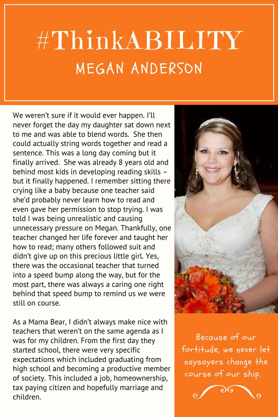## #ThinkABILITY MEGAN ANDERSON

We weren't sure if it would ever happen. I'll never forget the day my daughter sat down next to me and was able to blend words. She then could actually string words together and read a sentence. This was a long day coming but it finally arrived. She was already 8 years old and behind most kids in developing reading skills – but it finally happened. I remember sitting there crying like a baby because one teacher said she'd probably never learn how to read and even gave her permission to stop trying. I was told I was being unrealistic and causing unnecessary pressure on Megan. Thankfully, one teacher changed her life forever and taught her how to read; many others followed suit and didn't give up on this precious little girl. Yes, there was the occasional teacher that turned into a speed bump along the way, but for the most part, there was always a caring one right behind that speed bump to remind us we were still on course.

As a Mama Bear, I didn't always make nice with teachers that weren't on the same agenda as I was for my children. From the first day they started school, there were very specific expectations which included graduating from high school and becoming a productive member of society. This included a job, homeownership, tax paying citizen and hopefully marriage and children.



Because of our fortitude, we never let naysayers change the course of our ship.

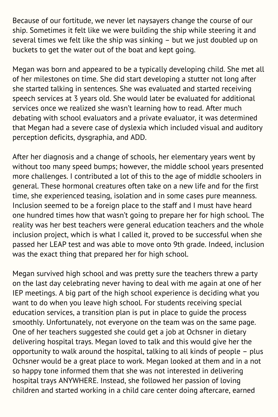Because of our fortitude, we never let naysayers change the course of our ship. Sometimes it felt like we were building the ship while steering it and several times we felt like the ship was sinking – but we just doubled up on buckets to get the water out of the boat and kept going.

Megan was born and appeared to be a typically developing child. She met all of her milestones on time. She did start developing a stutter not long after she started talking in sentences. She was evaluated and started receiving speech services at 3 years old. She would later be evaluated for additional services once we realized she wasn't learning how to read. After much debating with school evaluators and a private evaluator, it was determined that Megan had a severe case of dyslexia which included visual and auditory perception deficits, dysgraphia, and ADD.

After her diagnosis and a change of schools, her elementary years went by without too many speed bumps; however, the middle school years presented more challenges. I contributed a lot of this to the age of middle schoolers in general. These hormonal creatures often take on a new life and for the first time, she experienced teasing, isolation and in some cases pure meanness. Inclusion seemed to be a foreign place to the staff and I must have heard one hundred times how that wasn't going to prepare her for high school. The reality was her best teachers were general education teachers and the whole inclusion project, which is what I called it, proved to be successful when she passed her LEAP test and was able to move onto 9th grade. Indeed, inclusion was the exact thing that prepared her for high school.

Megan survived high school and was pretty sure the teachers threw a party on the last day celebrating never having to deal with me again at one of her IEP meetings. A big part of the high school experience is deciding what you want to do when you leave high school. For students receiving special education services, a transition plan is put in place to guide the process smoothly. Unfortunately, not everyone on the team was on the same page. One of her teachers suggested she could get a job at Ochsner in dietary delivering hospital trays. Megan loved to talk and this would give her the opportunity to walk around the hospital, talking to all kinds of people – plus Ochsner would be a great place to work. Megan looked at them and in a not so happy tone informed them that she was not interested in delivering hospital trays ANYWHERE. Instead, she followed her passion of loving children and started working in a child care center doing aftercare, earned